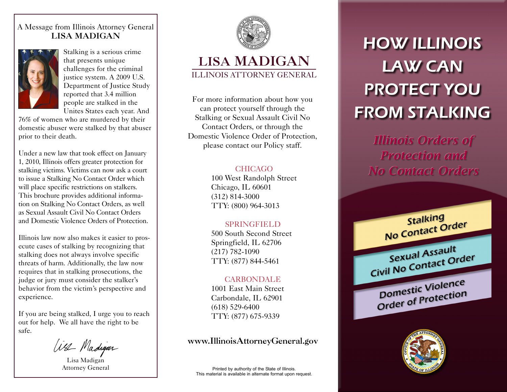#### A Message from Illinois Attorney General **LISA MADIGAN**



Stalking is a serious crime that presents unique challenges for the criminal justice system. A 2009 U.S. Department of Justice Study reported that 3.4 million people are stalked in the Unites States each year. And

76% of women who are murdered by their domestic abuser were stalked by that abuser prior to their death.

Under a new law that took effect on January 1, 2010, Illinois offers greater protection for stalking victims. Victims can now ask a court to issue a Stalking No Contact Order which will place specific restrictions on stalkers. This brochure provides additional information on Stalking No Contact Orders, as well as Sexual Assault Civil No Contact Orders and Domestic Violence Orders of Protection.

Illinois law now also makes it easier to prosecute cases of stalking by recognizing that stalking does not always involve specific threats of harm. Additionally, the law now requires that in stalking prosecutions, the judge or jury must consider the stalker's behavior from the victim's perspective and experience.

If you are being stalked, I urge you to reach out for help. We all have the right to be safe.

als Madigar

Lisa Madigan Attorney General



#### **LISA MADIGAN** ILLINOIS ATTORNEY GENERAL

For more information about how you can protect yourself through the Stalking or Sexual Assault Civil No Contact Orders, or through the Domestic Violence Order of Protection, please contact our Policy staff.

#### **CHICAGO**

100 West Randolph Street Chicago, IL 60601 (312) 814-3000 TTY: (800) 964-3013

#### SPRINGFIELD

500 South Second Street Springfield, IL 62706 (217) 782-1090 TTY: (877) 844-5461

#### **CARBONDALE**

1001 East Main Street Carbondale, IL 62901 (618) 529-6400 TTY: (877) 675-9339

#### **www.IllinoisAttorneyGeneral.gov**

Printed by authority of the State of Illinois. This material is available in alternate format upon request.

# **HOW ILLINOIS LAW CAN PROTECT YOU FROM STALKING**

**Illinois Orders of Protection and No Contact Orders** 

**Stalking Stalking**<br>No Contact Order Sexual Assault Sexual Assaure<br>Civil No Contact Order Domestic Violence Domestic Violetion